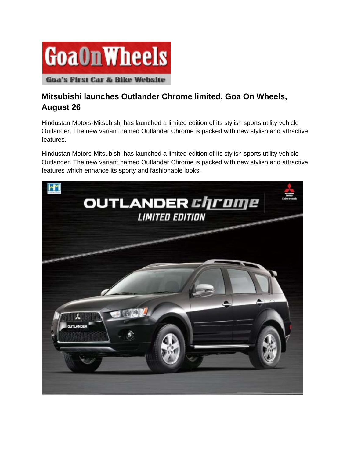

## **Mitsubishi launches Outlander Chrome limited, Goa On Wheels, August 26**

Hindustan Motors-Mitsubishi has launched a limited edition of its stylish sports utility vehicle Outlander. The new variant named Outlander Chrome is packed with new stylish and attractive features.

Hindustan Motors-Mitsubishi has launched a limited edition of its stylish sports utility vehicle Outlander. The new variant named Outlander Chrome is packed with new stylish and attractive features which enhance its sporty and fashionable looks.

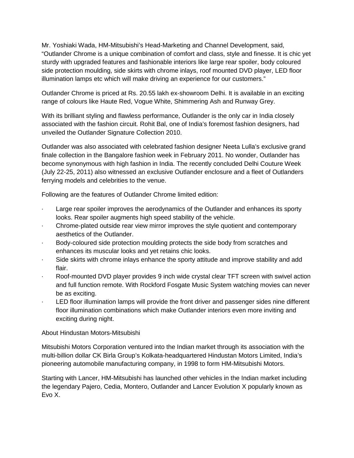Mr. Yoshiaki Wada, HM-Mitsubishi's Head-Marketing and Channel Development, said, "Outlander Chrome is a unique combination of comfort and class, style and finesse. It is chic yet sturdy with upgraded features and fashionable interiors like large rear spoiler, body coloured side protection moulding, side skirts with chrome inlays, roof mounted DVD player, LED floor illumination lamps etc which will make driving an experience for our customers."

Outlander Chrome is priced at Rs. 20.55 lakh ex-showroom Delhi. It is available in an exciting range of colours like Haute Red, Vogue White, Shimmering Ash and Runway Grey.

With its brilliant styling and flawless performance, Outlander is the only car in India closely associated with the fashion circuit. Rohit Bal, one of India's foremost fashion designers, had unveiled the Outlander Signature Collection 2010.

Outlander was also associated with celebrated fashion designer Neeta Lulla's exclusive grand finale collection in the Bangalore fashion week in February 2011. No wonder, Outlander has become synonymous with high fashion in India. The recently concluded Delhi Couture Week (July 22-25, 2011) also witnessed an exclusive Outlander enclosure and a fleet of Outlanders ferrying models and celebrities to the venue.

Following are the features of Outlander Chrome limited edition:

- Large rear spoiler improves the aerodynamics of the Outlander and enhances its sporty looks. Rear spoiler augments high speed stability of the vehicle.
- · Chrome-plated outside rear view mirror improves the style quotient and contemporary aesthetics of the Outlander.
- · Body-coloured side protection moulding protects the side body from scratches and enhances its muscular looks and yet retains chic looks.
- · Side skirts with chrome inlays enhance the sporty attitude and improve stability and add flair.
- Roof-mounted DVD player provides 9 inch wide crystal clear TFT screen with swivel action and full function remote. With Rockford Fosgate Music System watching movies can never be as exciting.
- LED floor illumination lamps will provide the front driver and passenger sides nine different floor illumination combinations which make Outlander interiors even more inviting and exciting during night.

## About Hindustan Motors-Mitsubishi

Mitsubishi Motors Corporation ventured into the Indian market through its association with the multi-billion dollar CK Birla Group's Kolkata-headquartered Hindustan Motors Limited, India's pioneering automobile manufacturing company, in 1998 to form HM-Mitsubishi Motors.

Starting with Lancer, HM-Mitsubishi has launched other vehicles in the Indian market including the legendary Pajero, Cedia, Montero, Outlander and Lancer Evolution X popularly known as Evo X.